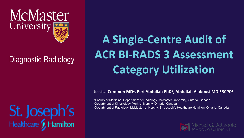

### Diagnostic Radiology

St. Joseph's<br>Healthcare **y** Hamilton

### **A Single-Centre Audit of ACR BI-RADS 3 Assessment Category Utilization**

#### **Jessica Common MD1, Peri Abdullah PhD2, Abdullah Alabousi MD FRCPC3**

1 Faculty of Medicine, Department of Radiology, McMaster University, Ontario, Canada 2Department of Kinesiology, York University, Ontario, Canada 3Department of Radiology, McMaster University, St. Joseph's Healthcare Hamilton, Ontario, Canada

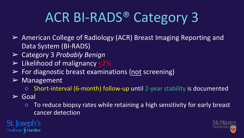# ACR BI-RADS® Category 3

- ➢ American College of Radiology (ACR) Breast Imaging Reporting and Data System (BI-RADS)
- ➢ Category 3 *Probably Benign*
- $\triangleright$  Likelihood of malignancy <2%
- $\triangleright$  For diagnostic breast examinations (not screening)
- $\triangleright$  Management
	- Short-interval (6-month) follow-up until 2-year stability is documented
- $\triangleright$  Goal
	- $\circ$  To reduce biopsy rates while retaining a high sensitivity for early breast cancer detection



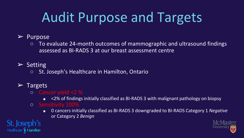## Audit Purpose and Targets

#### ➢ Purpose

 $\circ$  To evaluate 24-month outcomes of mammographic and ultrasound findings assessed as BI-RADS 3 at our breast assessment centre

#### $\triangleright$  Setting

○ St. Joseph's Healthcare in Hamilton, Ontario

### $\triangleright$  Targets

St. Joseph's

Healthcare & Hamilton

- Cancer yield <2 %
	- <2% of findings initially classified as BI-RADS 3 with malignant pathology on biopsy
- Sensitivity 100%
	- 0 cancers initially classified as BI-RADS 3 downgraded to BI-RADS Category 1 *Negative* or Category 2 *Benign*

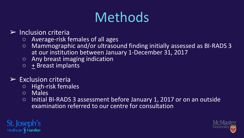### Methods

### $\triangleright$  Inclusion criteria

- Average-risk females of all ages
- Mammographic and/or ultrasound finding initially assessed as BI-RADS 3 at our institution between January 1-December 31, 2017
- Any breast imaging indication
- $\circ$  + Breast implants

### $\triangleright$  Exclusion criteria

- High-risk females
- Males
- $\circ$  Initial BI-RADS 3 assessment before January 1, 2017 or on an outside examination referred to our centre for consultation



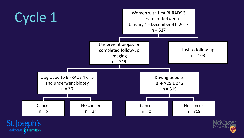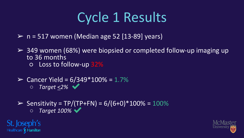## Cycle 1 Results

- $\triangleright$  n = 517 women (Median age 52 [13-89] years)
- $\geq$  349 women (68%) were biopsied or completed follow-up imaging up to 36 months  $\circ$  Loss to follow-up  $32\%$
- $≥$  Cancer Yield = 6/349\*100% = 1.7% ○ *Target <2%* ✔

St. Joseph's Healthcare & Hamilton

 $\triangleright$  Sensitivity = TP/(TP+FN) = 6/(6+0)\*100% = 100% ○ *Target 100%* ✔

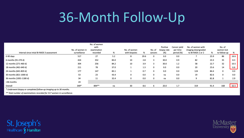### 36-Month Follow-Up

| Interval since intial BI-RADS 3 assessment | No. of women in<br>surveillance | No. of women<br>with<br>examination<br>recorded | %    | No. of women<br>with biopsies | %    | No. of<br>cancers | Positive<br>biopsy rate<br>(%) | Cancer yield<br>per time<br>period (%) | No. of women with<br>imaging downgraded<br>to BI-RADS 1 or 2 | %    | No. of<br>women lost<br>to follow-up | %    |
|--------------------------------------------|---------------------------------|-------------------------------------------------|------|-------------------------------|------|-------------------|--------------------------------|----------------------------------------|--------------------------------------------------------------|------|--------------------------------------|------|
| 0-90 days                                  | 517                             | 27                                              | 5.2  | 8                             | 29.6 | 0                 | 0.0                            | 0.0                                    |                                                              | 25.9 | 86                                   | 16.6 |
| 6 months (91-270 d)                        | 424                             | 352                                             | 83.0 | 10                            | 2.8  | 3                 | 30.0                           | 0.9                                    | 82                                                           | 23.3 | 35                                   | 8.3  |
| 12 months (271-460 d)                      | 304                             | 256                                             | 84.2 | 10                            | 3.9  | 3                 | 30.0                           | 1.2                                    | 58                                                           | 22.7 | 32                                   | 10.5 |
| 18 months (461-640 d)                      | 211                             | 78                                              | 37.0 |                               | 1.3  | 0                 | 0.0                            | 0.0                                    | 20                                                           | 25.6 | 14                                   | 6.6  |
| 24 months (641-820 d)                      | 177                             | 147                                             | 83.1 |                               | 0.7  | 0                 | 0.0                            | 0.0                                    | 124                                                          | 84.4 | 0                                    | 0.0  |
| 30 months (821-1000 d)                     | 53                              | 23                                              | 43.4 | 0                             | 0.0  | 0                 | na                             | 0.0                                    | 19                                                           | 82.6 | 0                                    | 0.0  |
| 36 months (1001-1180 d)                    | 34                              | 11                                              | 32.4 | 0                             | 0.0  |                   | na                             | 0.0                                    |                                                              | 81.8 |                                      | 2.9  |
| >36 months                                 | 24                              |                                                 |      |                               |      |                   |                                |                                        |                                                              |      |                                      |      |
| Overall                                    | 349*                            | 894**                                           | na   | 30                            | 8.6  |                   | 20.0                           | 1.7                                    | 319                                                          | 91.4 | 168                                  | 32.5 |

\* Underwent biopsy or completed follow-up imaging up to 36 months.

\*\* Total number of examinations recorded for 517 women in surveillance.



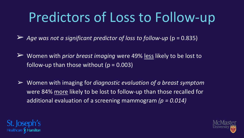## Predictors of Loss to Follow-up

➢ *Age was not a significant predictor of loss to follow-up* (p = 0.835)

- ➢ Women with *prior breast imaging* were 49% less likely to be lost to follow-up than those without ( $p = 0.003$ )
- ➢ Women with imaging for *diagnostic evaluation of a breast symptom* were 84% more likely to be lost to follow-up than those recalled for additional evaluation of a screening mammogram *(p = 0.014)*



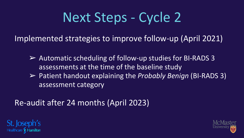## Next Steps - Cycle 2

Implemented strategies to improve follow-up (April 2021)

➢ Automatic scheduling of follow-up studies for BI-RADS 3 assessments at the time of the baseline study ➢ Patient handout explaining the *Probably Benign* (BI-RADS 3) assessment category

Re-audit after 24 months (April 2023)